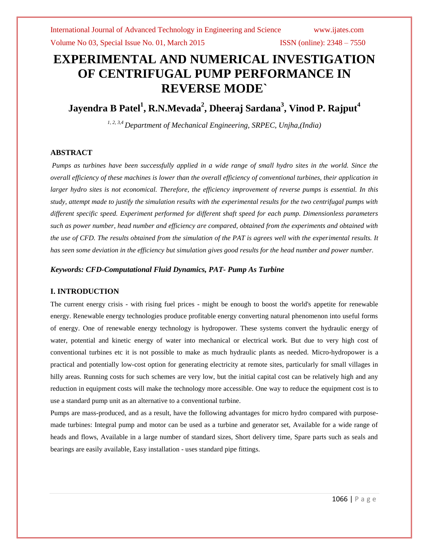# **EXPERIMENTAL AND NUMERICAL INVESTIGATION OF CENTRIFUGAL PUMP PERFORMANCE IN REVERSE MODE`**

**Jayendra B Patel<sup>1</sup> , R.N.Mevada<sup>2</sup> , Dheeraj Sardana<sup>3</sup> , Vinod P. Rajput<sup>4</sup>**

*1, 2, 3,4 Department of Mechanical Engineering, SRPEC, Unjha,(India)*

# **ABSTRACT**

*Pumps as turbines have been successfully applied in a wide range of small hydro sites in the world. Since the overall efficiency of these machines is lower than the overall efficiency of conventional turbines, their application in larger hydro sites is not economical. Therefore, the efficiency improvement of reverse pumps is essential. In this study, attempt made to justify the simulation results with the experimental results for the two centrifugal pumps with different specific speed. Experiment performed for different shaft speed for each pump. Dimensionless parameters such as power number, head number and efficiency are compared, obtained from the experiments and obtained with the use of CFD. The results obtained from the simulation of the PAT is agrees well with the experimental results. It has seen some deviation in the efficiency but simulation gives good results for the head number and power number.*

## *Keywords: CFD-Computational Fluid Dynamics, PAT- Pump As Turbine*

# **I. INTRODUCTION**

The current energy crisis - with rising fuel prices - might be enough to boost the world's appetite for renewable energy. Renewable energy technologies produce profitable energy converting natural phenomenon into useful forms of energy. One of renewable energy technology is hydropower. These systems convert the hydraulic energy of water, potential and kinetic energy of water into mechanical or electrical work. But due to very high cost of conventional turbines etc it is not possible to make as much hydraulic plants as needed. Micro-hydropower is a practical and potentially low-cost option for generating electricity at remote sites, particularly for small villages in hilly areas. Running costs for such schemes are very low, but the initial capital cost can be relatively high and any reduction in equipment costs will make the technology more accessible. One way to reduce the equipment cost is to use a standard pump unit as an alternative to a conventional turbine.

Pumps are mass-produced, and as a result, have the following advantages for micro hydro compared with purposemade turbines: Integral pump and motor can be used as a turbine and generator set, Available for a wide range of heads and flows, Available in a large number of standard sizes, Short delivery time, Spare parts such as seals and bearings are easily available, Easy installation - uses standard pipe fittings.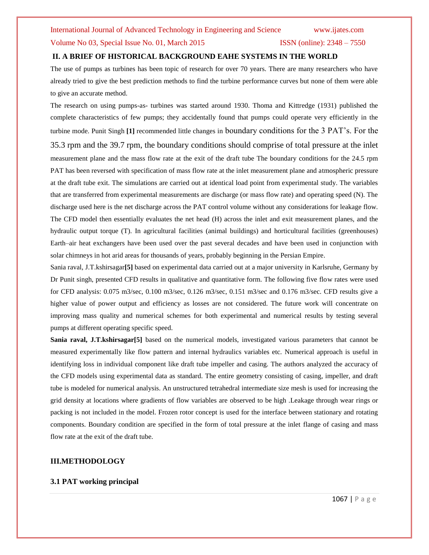### Volume No 03, Special Issue No. 01, March 2015 ISSN (online): 2348 – 7550

### **II. A BRIEF OF HISTORICAL BACKGROUND EAHE SYSTEMS IN THE WORLD**

The use of pumps as turbines has been topic of research for over 70 years. There are many researchers who have already tried to give the best prediction methods to find the turbine performance curves but none of them were able to give an accurate method.

The research on using pumps-as- turbines was started around 1930. Thoma and Kittredge (1931) published the complete characteristics of few pumps; they accidentally found that pumps could operate very efficiently in the turbine mode. Punit Singh **[1]** recommended little changes in boundary conditions for the 3 PAT's. For the 35.3 rpm and the 39.7 rpm, the boundary conditions should comprise of total pressure at the inlet measurement plane and the mass flow rate at the exit of the draft tube The boundary conditions for the 24.5 rpm PAT has been reversed with specification of mass flow rate at the inlet measurement plane and atmospheric pressure at the draft tube exit. The simulations are carried out at identical load point from experimental study. The variables that are transferred from experimental measurements are discharge (or mass flow rate) and operating speed (N). The discharge used here is the net discharge across the PAT control volume without any considerations for leakage flow. The CFD model then essentially evaluates the net head (H) across the inlet and exit measurement planes, and the hydraulic output torque (T). In agricultural facilities (animal buildings) and horticultural facilities (greenhouses) Earth–air heat exchangers have been used over the past several decades and have been used in conjunction with solar chimneys in hot arid areas for thousands of years, probably beginning in the Persian Empire.

Sania raval, J.T.kshirsagar**[5]** based on experimental data carried out at a major university in Karlsruhe, Germany by Dr Punit singh, presented CFD results in qualitative and quantitative form. The following five flow rates were used for CFD analysis: 0.075 m3/sec, 0.100 m3/sec, 0.126 m3/sec, 0.151 m3/sec and 0.176 m3/sec. CFD results give a higher value of power output and efficiency as losses are not considered. The future work will concentrate on improving mass quality and numerical schemes for both experimental and numerical results by testing several pumps at different operating specific speed.

**Sania raval, J.T.kshirsagar[5]** based on the numerical models, investigated various parameters that cannot be measured experimentally like flow pattern and internal hydraulics variables etc. Numerical approach is useful in identifying loss in individual component like draft tube impeller and casing. The authors analyzed the accuracy of the CFD models using experimental data as standard. The entire geometry consisting of casing, impeller, and draft tube is modeled for numerical analysis. An unstructured tetrahedral intermediate size mesh is used for increasing the grid density at locations where gradients of flow variables are observed to be high .Leakage through wear rings or packing is not included in the model. Frozen rotor concept is used for the interface between stationary and rotating components. Boundary condition are specified in the form of total pressure at the inlet flange of casing and mass flow rate at the exit of the draft tube.

### **III.METHODOLOGY**

### **3.1 PAT working principal**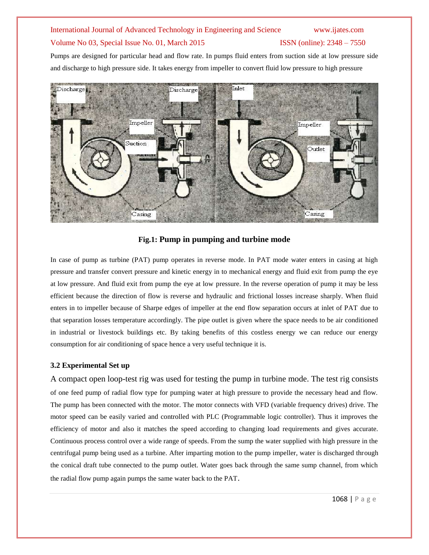# Volume No 03, Special Issue No. 01, March 2015 ISSN (online): 2348 – 7550

Pumps are designed for particular head and flow rate. In pumps fluid enters from suction side at low pressure side and discharge to high pressure side. It takes energy from impeller to convert fluid low pressure to high pressure



# **Fig.1: Pump in pumping and turbine mode**

In case of pump as turbine (PAT) pump operates in reverse mode. In PAT mode water enters in casing at high pressure and transfer convert pressure and kinetic energy in to mechanical energy and fluid exit from pump the eye at low pressure. And fluid exit from pump the eye at low pressure. In the reverse operation of pump it may be less efficient because the direction of flow is reverse and hydraulic and frictional losses increase sharply. When fluid enters in to impeller because of Sharpe edges of impeller at the end flow separation occurs at inlet of PAT due to that separation losses temperature accordingly. The pipe outlet is given where the space needs to be air conditioned in industrial or livestock buildings etc. By taking benefits of this costless energy we can reduce our energy consumption for air conditioning of space hence a very useful technique it is.

# **3.2 Experimental Set up**

A compact open loop-test rig was used for testing the pump in turbine mode. The test rig consists of one feed pump of radial flow type for pumping water at high pressure to provide the necessary head and flow. The pump has been connected with the motor. The motor connects with VFD (variable frequency drives) drive. The motor speed can be easily varied and controlled with PLC (Programmable logic controller). Thus it improves the efficiency of motor and also it matches the speed according to changing load requirements and gives accurate. Continuous process control over a wide range of speeds. From the sump the water supplied with high pressure in the centrifugal pump being used as a turbine. After imparting motion to the pump impeller, water is discharged through the conical draft tube connected to the pump outlet. Water goes back through the same sump channel, from which the radial flow pump again pumps the same water back to the PAT.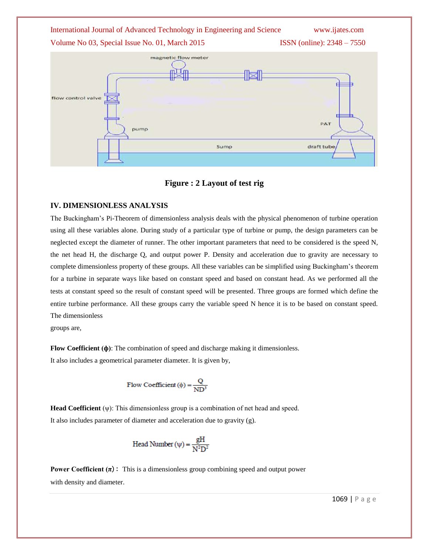Volume No 03, Special Issue No. 01, March 2015 **ISSN** (online): 2348 – 7550





**Figure : 2 Layout of test rig**

## **IV. DIMENSIONLESS ANALYSIS**

The Buckingham's Pi-Theorem of dimensionless analysis deals with the physical phenomenon of turbine operation using all these variables alone. During study of a particular type of turbine or pump, the design parameters can be neglected except the diameter of runner. The other important parameters that need to be considered is the speed N, the net head H, the discharge Q, and output power P. Density and acceleration due to gravity are necessary to complete dimensionless property of these groups. All these variables can be simplified using Buckingham's theorem for a turbine in separate ways like based on constant speed and based on constant head. As we performed all the tests at constant speed so the result of constant speed will be presented. Three groups are formed which define the entire turbine performance. All these groups carry the variable speed N hence it is to be based on constant speed. The dimensionless

groups are,

**Flow Coefficient (** $\phi$ **)**: The combination of speed and discharge making it dimensionless. It also includes a geometrical parameter diameter. It is given by,

Flow Coefficient 
$$
(\phi) = \frac{Q}{ND^3}
$$

**Head Coefficient** (ψ): This dimensionless group is a combination of net head and speed. It also includes parameter of diameter and acceleration due to gravity (g).

Head Number 
$$
(\psi) = \frac{gH}{N^2D^2}
$$

**Power Coefficient**  $(\pi)$ **:** This is a dimensionless group combining speed and output power with density and diameter.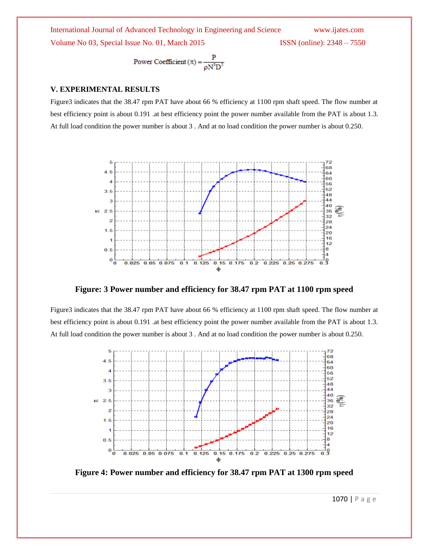International Journal of Advanced Technology in Engineering and Science www.ijates.com Volume No 03, Special Issue No. 01, March 2015 ISSN (online): 2348 – 7550

Power Coefficient 
$$
(\pi) = \frac{P}{\rho N^3 D^5}
$$

### **V. EXPERIMENTAL RESULTS**

Figure3 indicates that the 38.47 rpm PAT have about 66 % efficiency at 1100 rpm shaft speed. The flow number at best efficiency point is about 0.191 .at best efficiency point the power number available from the PAT is about 1.3. At full load condition the power number is about 3 . And at no load condition the power number is about 0.250.



**Figure: 3 Power number and efficiency for 38.47 rpm PAT at 1100 rpm speed**

Figure3 indicates that the 38.47 rpm PAT have about 66 % efficiency at 1100 rpm shaft speed. The flow number at best efficiency point is about 0.191 .at best efficiency point the power number available from the PAT is about 1.3. At full load condition the power number is about 3 . And at no load condition the power number is about 0.250.



**Figure 4: Power number and efficiency for 38.47 rpm PAT at 1300 rpm speed**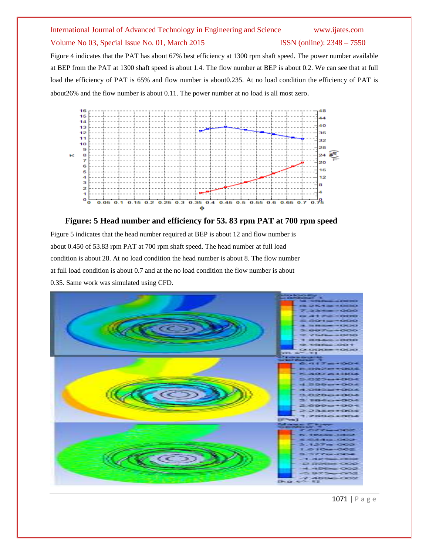# Volume No 03, Special Issue No. 01, March 2015 ISSN (online): 2348 – 7550

Figure 4 indicates that the PAT has about 67% best efficiency at 1300 rpm shaft speed. The power number available at BEP from the PAT at 1300 shaft speed is about 1.4. The flow number at BEP is about 0.2. We can see that at full load the efficiency of PAT is 65% and flow number is about0.235. At no load condition the efficiency of PAT is about26% and the flow number is about 0.11. The power number at no load is all most zero.



### **Figure: 5 Head number and efficiency for 53. 83 rpm PAT at 700 rpm speed**

Figure 5 indicates that the head number required at BEP is about 12 and flow number is about 0.450 of 53.83 rpm PAT at 700 rpm shaft speed. The head number at full load condition is about 28. At no load condition the head number is about 8. The flow number at full load condition is about 0.7 and at the no load condition the flow number is about 0.35. Same work was simulated using CFD.



1071 | P a g e